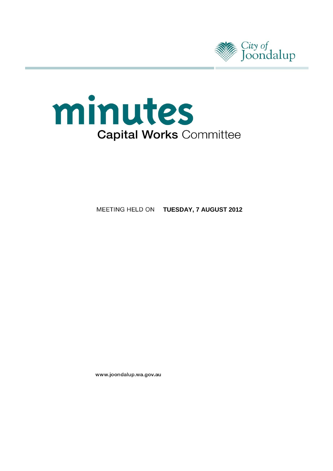



**MEETING HELD ON TUESDAY, 7 AUGUST 2012** 

www.joondalup.wa.gov.au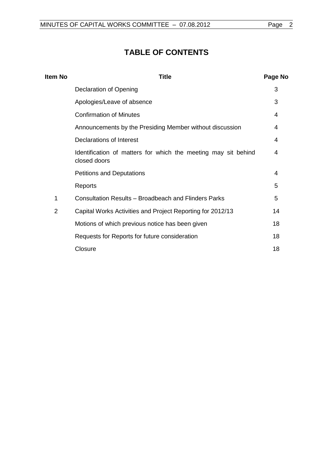# **TABLE OF CONTENTS**

| ltem No        | <b>Title</b>                                                                   |    |
|----------------|--------------------------------------------------------------------------------|----|
|                | Declaration of Opening                                                         | 3  |
|                | Apologies/Leave of absence                                                     | 3  |
|                | <b>Confirmation of Minutes</b>                                                 | 4  |
|                | Announcements by the Presiding Member without discussion                       | 4  |
|                | Declarations of Interest                                                       | 4  |
|                | Identification of matters for which the meeting may sit behind<br>closed doors | 4  |
|                | <b>Petitions and Deputations</b>                                               | 4  |
|                | Reports                                                                        | 5  |
| 1              | Consultation Results - Broadbeach and Flinders Parks                           | 5  |
| $\overline{2}$ | Capital Works Activities and Project Reporting for 2012/13                     | 14 |
|                | Motions of which previous notice has been given                                | 18 |
|                | Requests for Reports for future consideration                                  | 18 |
|                | Closure                                                                        | 18 |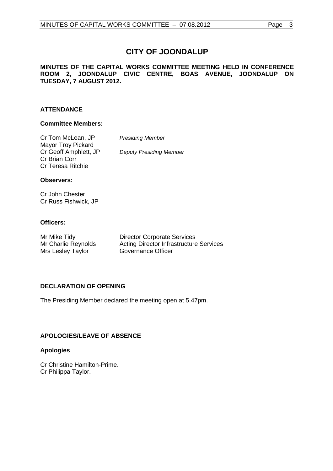# **CITY OF JOONDALUP**

# **MINUTES OF THE CAPITAL WORKS COMMITTEE MEETING HELD IN CONFERENCE ROOM 2, JOONDALUP CIVIC CENTRE, BOAS AVENUE, JOONDALUP ON TUESDAY, 7 AUGUST 2012.**

# **ATTENDANCE**

#### **Committee Members:**

| Cr Tom McLean, JP     | <b>Presiding Member</b>        |
|-----------------------|--------------------------------|
| Mayor Troy Pickard    |                                |
| Cr Geoff Amphlett, JP | <b>Deputy Presiding Member</b> |
| Cr Brian Corr         |                                |
| Cr Teresa Ritchie     |                                |

#### **Observers:**

Cr John Chester Cr Russ Fishwick, JP

#### **Officers:**

| Mr Mike Tidy        | <b>Director Corporate Services</b>             |
|---------------------|------------------------------------------------|
| Mr Charlie Reynolds | <b>Acting Director Infrastructure Services</b> |
| Mrs Lesley Taylor   | Governance Officer                             |

# <span id="page-2-0"></span>**DECLARATION OF OPENING**

The Presiding Member declared the meeting open at 5.47pm.

# <span id="page-2-1"></span>**APOLOGIES/LEAVE OF ABSENCE**

#### **Apologies**

Cr Christine Hamilton-Prime. Cr Philippa Taylor.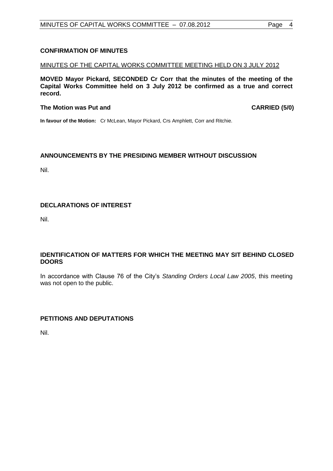# <span id="page-3-0"></span>**CONFIRMATION OF MINUTES**

#### MINUTES OF THE CAPITAL WORKS COMMITTEE MEETING HELD ON 3 JULY 2012

**MOVED Mayor Pickard, SECONDED Cr Corr that the minutes of the meeting of the Capital Works Committee held on 3 July 2012 be confirmed as a true and correct record.**

#### **The Motion was Put and CARRIED (5/0)**

**In favour of the Motion:** Cr McLean, Mayor Pickard, Crs Amphlett, Corr and Ritchie.

#### <span id="page-3-1"></span>**ANNOUNCEMENTS BY THE PRESIDING MEMBER WITHOUT DISCUSSION**

Nil.

# <span id="page-3-2"></span>**DECLARATIONS OF INTEREST**

Nil.

#### <span id="page-3-3"></span>**IDENTIFICATION OF MATTERS FOR WHICH THE MEETING MAY SIT BEHIND CLOSED DOORS**

In accordance with Clause 76 of the City's *Standing Orders Local Law 2005*, this meeting was not open to the public.

#### **PETITIONS AND DEPUTATIONS**

Nil.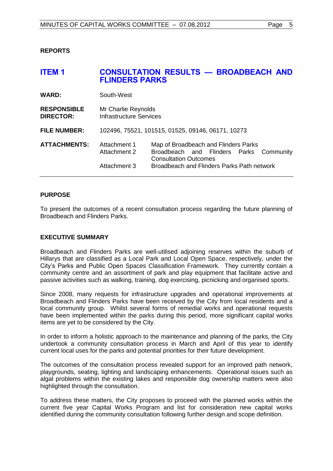<span id="page-4-0"></span>**REPORTS**

<span id="page-4-1"></span>

|                                                                                                                                                                                                                                      | <b>CONSULTATION RESULTS - BROADBEACH AND</b> |  |
|--------------------------------------------------------------------------------------------------------------------------------------------------------------------------------------------------------------------------------------|----------------------------------------------|--|
| South-West                                                                                                                                                                                                                           |                                              |  |
| Mr Charlie Reynolds<br>Infrastructure Services                                                                                                                                                                                       |                                              |  |
| 102496, 75521, 101515, 01525, 09146, 06171, 10273                                                                                                                                                                                    |                                              |  |
| <b>ATTACHMENTS:</b><br>Attachment 1<br>Map of Broadbeach and Flinders Parks<br>Broadbeach and Flinders Parks Community<br>Attachment 2<br><b>Consultation Outcomes</b><br>Broadbeach and Flinders Parks Path network<br>Attachment 3 |                                              |  |
|                                                                                                                                                                                                                                      | <b>FLINDERS PARKS</b>                        |  |

#### **PURPOSE**

To present the outcomes of a recent consultation process regarding the future planning of Broadbeach and Flinders Parks.

#### **EXECUTIVE SUMMARY**

Broadbeach and Flinders Parks are well-utilised adjoining reserves within the suburb of Hillarys that are classified as a Local Park and Local Open Space, respectively, under the City's Parks and Public Open Spaces Classification Framework. They currently contain a community centre and an assortment of park and play equipment that facilitate active and passive activities such as walking, training, dog exercising, picnicking and organised sports.

Since 2008, many requests for infrastructure upgrades and operational improvements at Broadbeach and Flinders Parks have been received by the City from local residents and a local community group. Whilst several forms of remedial works and operational requests have been implemented within the parks during this period, more significant capital works items are yet to be considered by the City.

In order to inform a holistic approach to the maintenance and planning of the parks, the City undertook a community consultation process in March and April of this year to identify current local uses for the parks and potential priorities for their future development.

The outcomes of the consultation process revealed support for an improved path network, playgrounds, seating, lighting and landscaping enhancements. Operational issues such as algal problems within the existing lakes and responsible dog ownership matters were also highlighted through the consultation.

To address these matters, the City proposes to proceed with the planned works within the current five year Capital Works Program and list for consideration new capital works identified during the community consultation following further design and scope definition.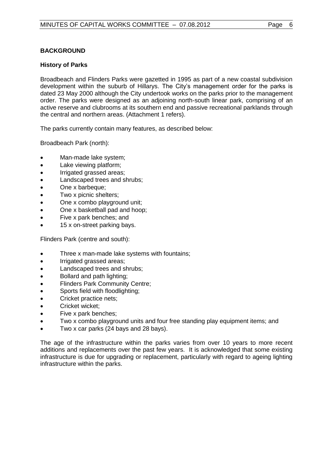# **BACKGROUND**

#### **History of Parks**

Broadbeach and Flinders Parks were gazetted in 1995 as part of a new coastal subdivision development within the suburb of Hillarys. The City's management order for the parks is dated 23 May 2000 although the City undertook works on the parks prior to the management order. The parks were designed as an adjoining north-south linear park, comprising of an active reserve and clubrooms at its southern end and passive recreational parklands through the central and northern areas. (Attachment 1 refers).

The parks currently contain many features, as described below:

Broadbeach Park (north):

- Man-made lake system;
- Lake viewing platform;
- Irrigated grassed areas;
- Landscaped trees and shrubs;
- One x barbeque;
- Two x picnic shelters;
- One x combo playground unit;
- One x basketball pad and hoop;
- Five x park benches; and
- 15 x on-street parking bays.

Flinders Park (centre and south):

- Three x man-made lake systems with fountains;
- Irrigated grassed areas;
- Landscaped trees and shrubs;
- Bollard and path lighting;
- Flinders Park Community Centre;
- Sports field with floodlighting;
- Cricket practice nets;
- Cricket wicket;
- Five x park benches;
- Two x combo playground units and four free standing play equipment items; and
- Two x car parks (24 bays and 28 bays).

The age of the infrastructure within the parks varies from over 10 years to more recent additions and replacements over the past few years. It is acknowledged that some existing infrastructure is due for upgrading or replacement, particularly with regard to ageing lighting infrastructure within the parks.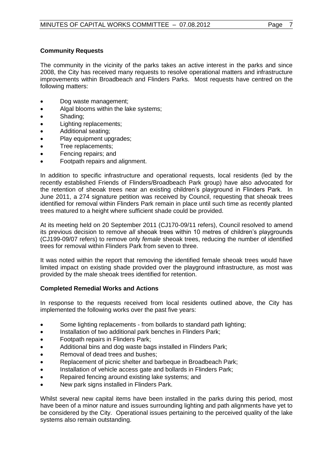# **Community Requests**

The community in the vicinity of the parks takes an active interest in the parks and since 2008, the City has received many requests to resolve operational matters and infrastructure improvements within Broadbeach and Flinders Parks. Most requests have centred on the following matters:

- Dog waste management;
- Algal blooms within the lake systems;
- Shading;
- Lighting replacements;
- Additional seating;
- Play equipment upgrades;
- Tree replacements;
- Fencing repairs; and
- Footpath repairs and alignment.

In addition to specific infrastructure and operational requests, local residents (led by the recently established Friends of Flinders/Broadbeach Park group) have also advocated for the retention of sheoak trees near an existing children's playground in Flinders Park. In June 2011, a 274 signature petition was received by Council, requesting that sheoak trees identified for removal within Flinders Park remain in place until such time as recently planted trees matured to a height where sufficient shade could be provided.

At its meeting held on 20 September 2011 (CJ170-09/11 refers), Council resolved to amend its previous decision to remove *all* sheoak trees within 10 metres of children's playgrounds (CJ199-09/07 refers) to remove only *female* sheoak trees, reducing the number of identified trees for removal within Flinders Park from seven to three.

It was noted within the report that removing the identified female sheoak trees would have limited impact on existing shade provided over the playground infrastructure, as most was provided by the male sheoak trees identified for retention.

#### **Completed Remedial Works and Actions**

In response to the requests received from local residents outlined above, the City has implemented the following works over the past five years:

- Some lighting replacements from bollards to standard path lighting;
- Installation of two additional park benches in Flinders Park;
- Footpath repairs in Flinders Park;
- Additional bins and dog waste bags installed in Flinders Park;
- Removal of dead trees and bushes;
- Replacement of picnic shelter and barbeque in Broadbeach Park;
- Installation of vehicle access gate and bollards in Flinders Park;
- Repaired fencing around existing lake systems; and
- New park signs installed in Flinders Park.

Whilst several new capital items have been installed in the parks during this period, most have been of a minor nature and issues surrounding lighting and path alignments have yet to be considered by the City. Operational issues pertaining to the perceived quality of the lake systems also remain outstanding.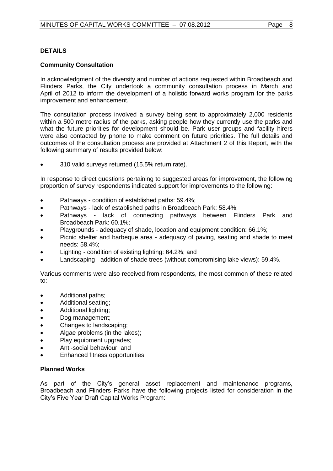#### **DETAILS**

#### **Community Consultation**

In acknowledgment of the diversity and number of actions requested within Broadbeach and Flinders Parks, the City undertook a community consultation process in March and April of 2012 to inform the development of a holistic forward works program for the parks improvement and enhancement.

The consultation process involved a survey being sent to approximately 2,000 residents within a 500 metre radius of the parks, asking people how they currently use the parks and what the future priorities for development should be. Park user groups and facility hirers were also contacted by phone to make comment on future priorities. The full details and outcomes of the consultation process are provided at Attachment 2 of this Report, with the following summary of results provided below:

310 valid surveys returned (15.5% return rate).

In response to direct questions pertaining to suggested areas for improvement, the following proportion of survey respondents indicated support for improvements to the following:

- Pathways condition of established paths: 59.4%;
- Pathways lack of established paths in Broadbeach Park: 58.4%;
- Pathways lack of connecting pathways between Flinders Park and Broadbeach Park: 60.1%;
- Playgrounds adequacy of shade, location and equipment condition: 66.1%;
- Picnic shelter and barbeque area adequacy of paving, seating and shade to meet needs: 58.4%;
- Lighting condition of existing lighting: 64.2%; and
- Landscaping addition of shade trees (without compromising lake views): 59.4%.

Various comments were also received from respondents, the most common of these related to:

- Additional paths;
- Additional seating;
- Additional lighting;
- Dog management;
- Changes to landscaping;
- Algae problems (in the lakes);
- Play equipment upgrades:
- Anti-social behaviour; and
- Enhanced fitness opportunities.

#### **Planned Works**

As part of the City's general asset replacement and maintenance programs, Broadbeach and Flinders Parks have the following projects listed for consideration in the City's Five Year Draft Capital Works Program: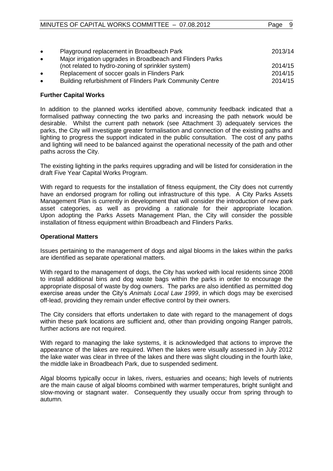| $\bullet$ | Playground replacement in Broadbeach Park                                                                       | 2013/14 |
|-----------|-----------------------------------------------------------------------------------------------------------------|---------|
| $\bullet$ | Major irrigation upgrades in Broadbeach and Flinders Parks<br>(not related to hydro-zoning of sprinkler system) | 2014/15 |
| $\bullet$ | Replacement of soccer goals in Flinders Park                                                                    | 2014/15 |
| $\bullet$ | Building refurbishment of Flinders Park Community Centre                                                        | 2014/15 |

#### **Further Capital Works**

In addition to the planned works identified above, community feedback indicated that a formalised pathway connecting the two parks and increasing the path network would be desirable. Whilst the current path network (see Attachment 3) adequately services the parks, the City will investigate greater formalisation and connection of the existing paths and lighting to progress the support indicated in the public consultation. The cost of any paths and lighting will need to be balanced against the operational necessity of the path and other paths across the City.

The existing lighting in the parks requires upgrading and will be listed for consideration in the draft Five Year Capital Works Program.

With regard to requests for the installation of fitness equipment, the City does not currently have an endorsed program for rolling out infrastructure of this type. A City Parks Assets Management Plan is currently in development that will consider the introduction of new park asset categories, as well as providing a rationale for their appropriate location. Upon adopting the Parks Assets Management Plan, the City will consider the possible installation of fitness equipment within Broadbeach and Flinders Parks.

#### **Operational Matters**

Issues pertaining to the management of dogs and algal blooms in the lakes within the parks are identified as separate operational matters.

With regard to the management of dogs, the City has worked with local residents since 2008 to install additional bins and dog waste bags within the parks in order to encourage the appropriate disposal of waste by dog owners. The parks are also identified as permitted dog exercise areas under the City's *Animals Local Law 1999*, in which dogs may be exercised off-lead, providing they remain under effective control by their owners.

The City considers that efforts undertaken to date with regard to the management of dogs within these park locations are sufficient and, other than providing ongoing Ranger patrols, further actions are not required.

With regard to managing the lake systems, it is acknowledged that actions to improve the appearance of the lakes are required. When the lakes were visually assessed in July 2012 the lake water was clear in three of the lakes and there was slight clouding in the fourth lake, the middle lake in Broadbeach Park, due to suspended sediment.

Algal blooms typically occur in lakes, rivers, estuaries and oceans; high levels of nutrients are the main cause of algal blooms combined with warmer temperatures, bright sunlight and slow-moving or stagnant water. Consequently they usually occur from spring through to autumn.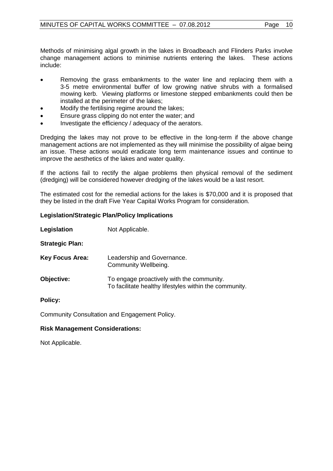Methods of minimising algal growth in the lakes in Broadbeach and Flinders Parks involve change management actions to minimise nutrients entering the lakes. These actions include:

- Removing the grass embankments to the water line and replacing them with a 3-5 metre environmental buffer of low growing native shrubs with a formalised mowing kerb. Viewing platforms or limestone stepped embankments could then be installed at the perimeter of the lakes;
- Modify the fertilising regime around the lakes;
- Ensure grass clipping do not enter the water; and
- Investigate the efficiency / adequacy of the aerators.

Dredging the lakes may not prove to be effective in the long-term if the above change management actions are not implemented as they will minimise the possibility of algae being an issue. These actions would eradicate long term maintenance issues and continue to improve the aesthetics of the lakes and water quality.

If the actions fail to rectify the algae problems then physical removal of the sediment (dredging) will be considered however dredging of the lakes would be a last resort.

The estimated cost for the remedial actions for the lakes is \$70,000 and it is proposed that they be listed in the draft Five Year Capital Works Program for consideration.

#### **Legislation/Strategic Plan/Policy Implications**

**Legislation** Not Applicable.

**Strategic Plan:**

**Key Focus Area:** Leadership and Governance. Community Wellbeing.

**Objective:** To engage proactively with the community. To facilitate healthy lifestyles within the community.

**Policy:**

Community Consultation and Engagement Policy.

#### **Risk Management Considerations:**

Not Applicable.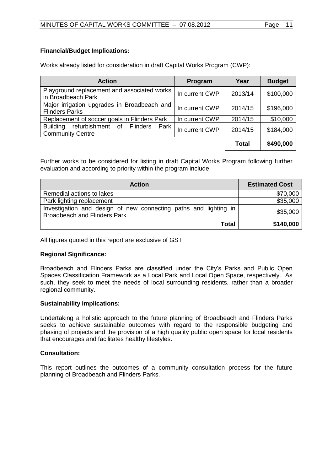#### **Financial/Budget Implications:**

Works already listed for consideration in draft Capital Works Program (CWP):

| <b>Action</b>                                                         | Program        | Year         | <b>Budget</b> |
|-----------------------------------------------------------------------|----------------|--------------|---------------|
| Playground replacement and associated works<br>in Broadbeach Park     | In current CWP | 2013/14      | \$100,000     |
| Major irrigation upgrades in Broadbeach and<br><b>Flinders Parks</b>  | In current CWP | 2014/15      | \$196,000     |
| Replacement of soccer goals in Flinders Park                          | In current CWP | 2014/15      | \$10,000      |
| Building refurbishment of Flinders<br>Park<br><b>Community Centre</b> | In current CWP | 2014/15      | \$184,000     |
|                                                                       |                | <b>Total</b> | \$490,000     |

Further works to be considered for listing in draft Capital Works Program following further evaluation and according to priority within the program include:

| <b>Action</b>                                                                                           | <b>Estimated Cost</b> |
|---------------------------------------------------------------------------------------------------------|-----------------------|
| Remedial actions to lakes                                                                               | \$70,000              |
| Park lighting replacement                                                                               | \$35,000              |
| Investigation and design of new connecting paths and lighting in<br><b>Broadbeach and Flinders Park</b> | \$35,000              |
| <b>Total</b>                                                                                            | \$140,000             |

All figures quoted in this report are exclusive of GST.

#### **Regional Significance:**

Broadbeach and Flinders Parks are classified under the City's Parks and Public Open Spaces Classification Framework as a Local Park and Local Open Space, respectively. As such, they seek to meet the needs of local surrounding residents, rather than a broader regional community.

#### **Sustainability Implications:**

Undertaking a holistic approach to the future planning of Broadbeach and Flinders Parks seeks to achieve sustainable outcomes with regard to the responsible budgeting and phasing of projects and the provision of a high quality public open space for local residents that encourages and facilitates healthy lifestyles.

# **Consultation:**

This report outlines the outcomes of a community consultation process for the future planning of Broadbeach and Flinders Parks.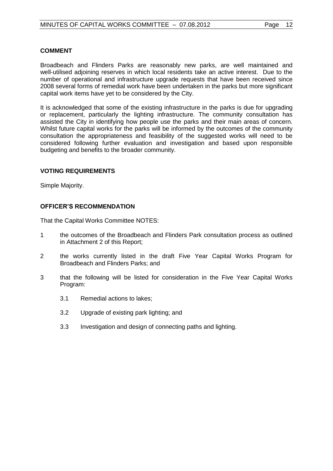#### **COMMENT**

Broadbeach and Flinders Parks are reasonably new parks, are well maintained and well-utilised adjoining reserves in which local residents take an active interest. Due to the number of operational and infrastructure upgrade requests that have been received since 2008 several forms of remedial work have been undertaken in the parks but more significant capital work items have yet to be considered by the City.

It is acknowledged that some of the existing infrastructure in the parks is due for upgrading or replacement, particularly the lighting infrastructure. The community consultation has assisted the City in identifying how people use the parks and their main areas of concern. Whilst future capital works for the parks will be informed by the outcomes of the community consultation the appropriateness and feasibility of the suggested works will need to be considered following further evaluation and investigation and based upon responsible budgeting and benefits to the broader community.

#### **VOTING REQUIREMENTS**

Simple Majority.

#### **OFFICER'S RECOMMENDATION**

That the Capital Works Committee NOTES:

- 1 the outcomes of the Broadbeach and Flinders Park consultation process as outlined in Attachment 2 of this Report;
- 2 the works currently listed in the draft Five Year Capital Works Program for Broadbeach and Flinders Parks; and
- 3 that the following will be listed for consideration in the Five Year Capital Works Program:
	- 3.1 Remedial actions to lakes;
	- 3.2 Upgrade of existing park lighting; and
	- 3.3 Investigation and design of connecting paths and lighting.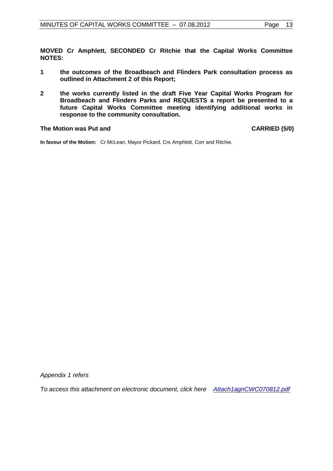**MOVED Cr Amphlett, SECONDED Cr Ritchie that the Capital Works Committee NOTES:**

- **1 the outcomes of the Broadbeach and Flinders Park consultation process as outlined in Attachment 2 of this Report;**
- **2 the works currently listed in the draft Five Year Capital Works Program for Broadbeach and Flinders Parks and REQUESTS a report be presented to a future Capital Works Committee meeting identifying additional works in response to the community consultation.**

#### **The Motion was Put and CARRIED (5/0)**

**In favour of the Motion:** Cr McLean, Mayor Pickard, Crs Amphlett, Corr and Ritchie.

*Appendix 1 refers*

*To access this attachment on electronic document, click her[e](Attach1agnCWC070812.pdf) [Attach1agnCWC070812.pdf](file://coj-fluorine/Minutes/minagenda/FINAL/Attachments/Attach1agnCWC070812.pdf)*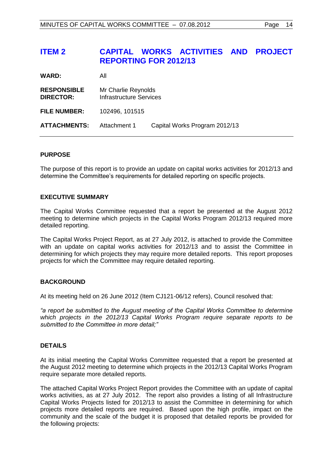# <span id="page-13-0"></span>**ITEM 2 CAPITAL WORKS ACTIVITIES AND PROJECT REPORTING FOR 2012/13**

| WARD:                                  | All                                                   |                               |
|----------------------------------------|-------------------------------------------------------|-------------------------------|
| <b>RESPONSIBLE</b><br><b>DIRECTOR:</b> | Mr Charlie Reynolds<br><b>Infrastructure Services</b> |                               |
| <b>FILE NUMBER:</b>                    | 102496, 101515                                        |                               |
| <b>ATTACHMENTS:</b>                    | Attachment 1                                          | Capital Works Program 2012/13 |

#### **PURPOSE**

The purpose of this report is to provide an update on capital works activities for 2012/13 and determine the Committee's requirements for detailed reporting on specific projects.

#### **EXECUTIVE SUMMARY**

The Capital Works Committee requested that a report be presented at the August 2012 meeting to determine which projects in the Capital Works Program 2012/13 required more detailed reporting.

The Capital Works Project Report, as at 27 July 2012, is attached to provide the Committee with an update on capital works activities for 2012/13 and to assist the Committee in determining for which projects they may require more detailed reports. This report proposes projects for which the Committee may require detailed reporting.

#### **BACKGROUND**

At its meeting held on 26 June 2012 (Item CJ121-06/12 refers), Council resolved that:

*"a report be submitted to the August meeting of the Capital Works Committee to determine which projects in the 2012/13 Capital Works Program require separate reports to be submitted to the Committee in more detail;"*

#### **DETAILS**

At its initial meeting the Capital Works Committee requested that a report be presented at the August 2012 meeting to determine which projects in the 2012/13 Capital Works Program require separate more detailed reports.

The attached Capital Works Project Report provides the Committee with an update of capital works activities, as at 27 July 2012. The report also provides a listing of all Infrastructure Capital Works Projects listed for 2012/13 to assist the Committee in determining for which projects more detailed reports are required. Based upon the high profile, impact on the community and the scale of the budget it is proposed that detailed reports be provided for the following projects: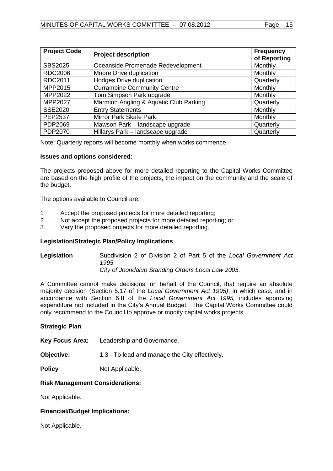| <b>Project Code</b> | <b>Project description</b>             | <b>Frequency</b><br>of Reporting |
|---------------------|----------------------------------------|----------------------------------|
| <b>SBS2025</b>      | Oceanside Promenade Redevelopment      | Monthly                          |
| <b>RDC2006</b>      | Moore Drive duplication                | Monthly                          |
| RDC2011             | <b>Hodges Drive duplication</b>        | Quarterly                        |
| MPP2015             | <b>Currambine Community Centre</b>     | Monthly                          |
| MPP2022             | Tom Simpson Park upgrade               | Monthly                          |
| <b>MPP2027</b>      | Marmion Angling & Aquatic Club Parking | Quarterly                        |
| <b>SSE2020</b>      | <b>Entry Statements</b>                | Monthly                          |
| <b>PEP2537</b>      | Mirror Park Skate Park                 | Monthly                          |
| PDP2069             | Mawson Park - landscape upgrade        | Quarterly                        |
| PDP2070             | Hillarys Park - landscape upgrade      | Quarterly                        |

Note: Quarterly reports will become monthly when works commence.

#### **Issues and options considered:**

The projects proposed above for more detailed reporting to the Capital Works Committee are based on the high profile of the projects, the impact on the community and the scale of the budget.

The options available to Council are:

- 1 Accept the proposed projects for more detailed reporting;
- 2 Not accept the proposed projects for more detailed reporting; or
- 3 Vary the proposed projects for more detailed reporting.

#### **Legislation/Strategic Plan/Policy Implications**

**Legislation** Subdivision 2 of Division 2 of Part 5 of the *Local Government Act 1995. City of Joondalup Standing Orders Local Law 2005.*

A Committee cannot make decisions, on behalf of the Council, that require an absolute majority decision (Section 5.17 of the *Local Government Act 1995)*, in which case, and in accordance with Section 6.8 of the *Local Government Act 1995,* includes approving expenditure not included in the City's Annual Budget. The Capital Works Committee could only recommend to the Council to approve or modify capital works projects.

#### **Strategic Plan**

**Key Focus Area:** Leadership and Governance.

**Objective:** 1.3 - To lead and manage the City effectively.

**Policy** Not Applicable.

#### **Risk Management Considerations:**

Not Applicable.

#### **Financial/Budget Implications:**

Not Applicable.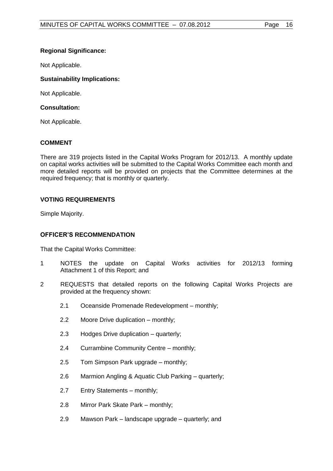# **Regional Significance:**

Not Applicable.

# **Sustainability Implications:**

Not Applicable.

# **Consultation:**

Not Applicable.

# **COMMENT**

There are 319 projects listed in the Capital Works Program for 2012/13. A monthly update on capital works activities will be submitted to the Capital Works Committee each month and more detailed reports will be provided on projects that the Committee determines at the required frequency; that is monthly or quarterly.

# **VOTING REQUIREMENTS**

Simple Majority.

# **OFFICER'S RECOMMENDATION**

That the Capital Works Committee:

- 1 NOTES the update on Capital Works activities for 2012/13 forming Attachment 1 of this Report; and
- 2 REQUESTS that detailed reports on the following Capital Works Projects are provided at the frequency shown:
	- 2.1 Oceanside Promenade Redevelopment monthly;
	- 2.2 Moore Drive duplication monthly;
	- 2.3 Hodges Drive duplication quarterly;
	- 2.4 Currambine Community Centre monthly;
	- 2.5 Tom Simpson Park upgrade monthly;
	- 2.6 Marmion Angling & Aquatic Club Parking quarterly;
	- 2.7 Entry Statements monthly;
	- 2.8 Mirror Park Skate Park monthly;
	- 2.9 Mawson Park landscape upgrade quarterly; and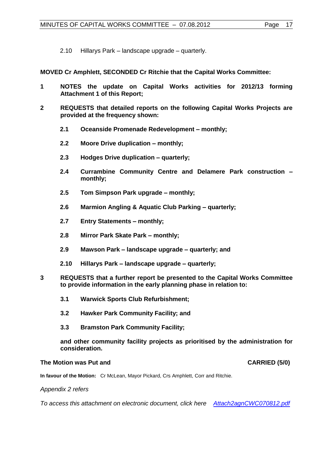2.10 Hillarys Park – landscape upgrade – quarterly.

**MOVED Cr Amphlett, SECONDED Cr Ritchie that the Capital Works Committee:**

- **1 NOTES the update on Capital Works activities for 2012/13 forming Attachment 1 of this Report;**
- **2 REQUESTS that detailed reports on the following Capital Works Projects are provided at the frequency shown:**
	- **2.1 Oceanside Promenade Redevelopment – monthly;**
	- **2.2 Moore Drive duplication – monthly;**
	- **2.3 Hodges Drive duplication – quarterly;**
	- **2.4 Currambine Community Centre and Delamere Park construction – monthly;**
	- **2.5 Tom Simpson Park upgrade – monthly;**
	- **2.6 Marmion Angling & Aquatic Club Parking – quarterly;**
	- **2.7 Entry Statements – monthly;**
	- **2.8 Mirror Park Skate Park – monthly;**
	- **2.9 Mawson Park – landscape upgrade – quarterly; and**
	- **2.10 Hillarys Park – landscape upgrade – quarterly;**
- **3 REQUESTS that a further report be presented to the Capital Works Committee to provide information in the early planning phase in relation to:**
	- **3.1 Warwick Sports Club Refurbishment;**
	- **3.2 Hawker Park Community Facility; and**
	- **3.3 Bramston Park Community Facility;**

**and other community facility projects as prioritised by the administration for consideration.**

#### **The Motion was Put and CARRIED (5/0)**

**In favour of the Motion:** Cr McLean, Mayor Pickard, Crs Amphlett, Corr and Ritchie.

*Appendix 2 refers*

*To access this attachment on electronic document, click here[Attach2agnCWC070812.pdf](file://coj-fluorine/Minutes/minagenda/FINAL/Attachments/Attach2agnCWC070812.pdf)*